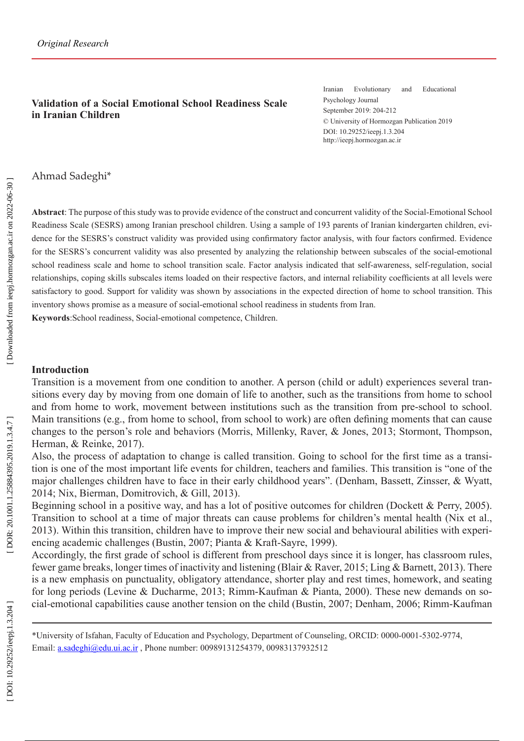### **Validation of a Social Emotional School Readiness Scale in Iranian Children**

Iranian Evolutionary and Educational Psychology Journal September 2019: 204-212 © University of Hormozgan Publication 2019 DOI: 10.29252/ieepj.1.3.204 http://ieepj.hormozgan.ac.ir

Ahmad Sadeghi\*

**Abstract**: The purpose of this study was to provide evidence of the construct and concurrent validity of the Social-Emotional School Readiness Scale (SESRS) among Iranian preschool children. Using a sample of 193 parents of Iranian kindergarten children, evi dence for the SESRS's construct validity was provided using confirmatory factor analysis, with four factors confirmed. Evidence for the SESRS's concurrent validity was also presented by analyzing the relationship between subscales of the social-emotional school readiness scale and home to school transition scale. Factor analysis indicated that self-awareness, self-regulation, social relationships, coping skills subscales items loaded on their respective factors, and internal reliability coefficients at all levels were satisfactory to good. Support for validity was shown by associations in the expected direction of home to school transition. This inventory shows promise as a measure of social-emotional school readiness in students from Iran.

**Keywords**:School readiness, Social-emotional competence, Children.

#### **Introduction**

Transition is a movement from one condition to another. A person (child or adult) experiences several tran sitions every day by moving from one domain of life to another, such as the transitions from home to school and from home to work, movement between institutions such as the transition from pre-school to school. Main transitions (e.g., from home to school, from school to work) are often defining moments that can cause changes to the person's role and behaviors (Morris, Millenky, Raver, & Jones, 2013 ; Stormont, Thompson, Herman, & Reinke, 2017).

Also, the process of adaptation to change is called transition. Going to school for the first time as a transi tion is one of the most important life events for children, teachers and families. This transition is "one of the major challenges children have to face in their early childhood years". (Denham, Bassett, Zinsser, & Wyatt, 2014 ; Nix, Bierman, Domitrovich, & Gill, 2013).

Beginning school in a positive way, and has a lot of positive outcomes for children (Dockett & Perry, 2005). Transition to school at a time of major threats can cause problems for children's mental health (Nix et al., 2013). Within this transition, children have to improve their new social and behavioural abilities with experi encing academic challenges (Bustin, 2007 ; Pianta & Kraft-Sayre, 1999).

Accordingly, the first grade of school is different from preschool days since it is longer, has classroom rules, fewer game breaks, longer times of inactivity and listening (Blair & Raver, 2015 ; Ling & Barnett, 2013). There is a new emphasis on punctuality, obligatory attendance, shorter play and rest times, homework, and seating for long periods (Levine & Ducharme, 2013; Rimm-Kaufman & Pianta, 2000). These new demands on social-emotional capabilities cause another tension on the child (Bustin, 2007 ; Denham, 2006 ; Rimm-Kaufman

<sup>\*</sup>University of Isfahan, Faculty of Education and Psychology, Department of Counseling, ORCID: 0000-0001-5302-9774, Email: a.sadeghi@edu.ui.ac.ir , Phone number: 00989131254379, 00983137932512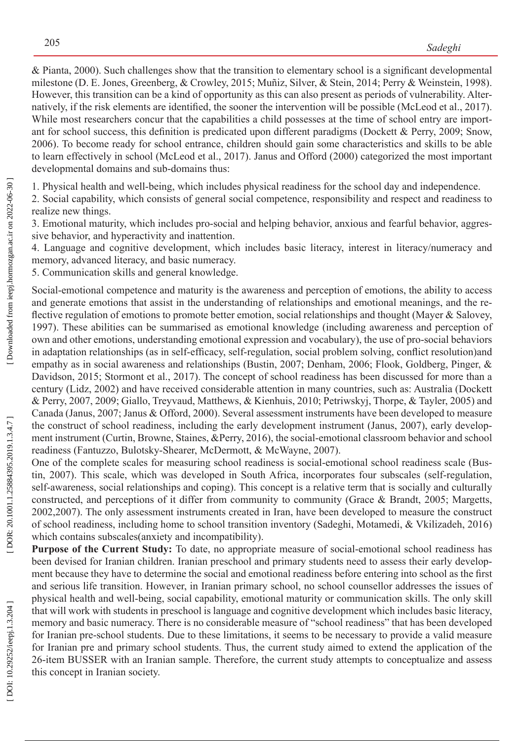& Pianta, 2000). Such challenges show that the transition to elementary school is a significant developmental milestone (D. E. Jones, Greenberg, & Crowley, 2015; Muñiz, Silver, & Stein, 2014; Perry & Weinstein, 1998). However, this transition can be a kind of opportunity as this can also present as periods of vulnerability. Alter natively, if the risk elements are identified, the sooner the intervention will be possible (McLeod et al., 2017). While most researchers concur that the capabilities a child possesses at the time of school entry are important for school success, this definition is predicated upon different paradigms (Dockett & Perry, 2009; Snow, 2006). To become ready for school entrance, children should gain some characteristics and skills to be able to learn effectively in school (McLeod et al., 2017). Janus and Offord (2000) categorized the most important developmental domains and sub-domains thus:

1. Physical health and well-being, which includes physical readiness for the school day and independence.

2. Social capability, which consists of general social competence, responsibility and respect and readiness to realize new things.

3. Emotional maturity, which includes pro-social and helping behavior, anxious and fearful behavior, aggres sive behavior, and hyperactivity and inattention.

4. Language and cognitive development, which includes basic literacy, interest in literacy/numeracy and memory, advanced literacy, and basic numeracy.

5. Communication skills and general knowledge.

Social-emotional competence and maturity is the awareness and perception of emotions, the ability to access and generate emotions that assist in the understanding of relationships and emotional meanings, and the reflective regulation of emotions to promote better emotion, social relationships and thought (Mayer & Salovey, 1997). These abilities can be summarised as emotional knowledge (including awareness and perception of own and other emotions, understanding emotional expression and vocabulary), the use of pro-social behaviors in adaptation relationships (as in self-efficacy, self-regulation, social problem solving, conflict resolution)and empathy as in social awareness and relationships (Bustin, 2007; Denham, 2006; Flook, Goldberg, Pinger, & Davidson, 2015; Stormont et al., 2017). The concept of school readiness has been discussed for more than a century (Lidz, 2002) and have received considerable attention in many countries, such as: Australia (Dockett & Perry, 2007 , 2009 ; Giallo, Treyvaud, Matthews, & Kienhuis, 2010 ; Petriwskyj, Thorpe, & Tayler, 2005) and Canada (Janus, 2007 ; Janus & Offord, 2000). Several assessment instruments have been developed to measure the construct of school readiness, including the early development instrument (Janus, 2007), early develop ment instrument (Curtin, Browne, Staines, &Perry, 2016), the social-emotional classroom behavior and school readiness (Fantuzzo, Bulotsky-Shearer, McDermott, & McWayne, 2007).

One of the complete scales for measuring school readiness is social-emotional school readiness scale (Bus tin, 2007). This scale, which was developed in South Africa, incorporates four subscales (self-regulation, self-awareness, social relationships and coping). This concept is a relative term that is socially and culturally constructed, and perceptions of it differ from community to community (Grace & Brandt, 2005 ; Margetts, 2002 ,2007). The only assessment instruments created in Iran, have been developed to measure the construct of school readiness, including home to school transition inventory (Sadeghi, Motamedi, & Vkilizadeh, 2016) which contains subscales(anxiety and incompatibility).

**Purpose of the Current Study:** To date, no appropriate measure of social-emotional school readiness has been devised for Iranian children. Iranian preschool and primary students need to assess their early develop ment because they have to determine the social and emotional readiness before entering into school as the first and serious life transition. However, in Iranian primary school, no school counsellor addresses the issues of physical health and well-being, social capability, emotional maturity or communication skills. The only skill that will work with students in preschool is language and cognitive development which includes basic literacy, memory and basic numeracy. There is no considerable measure of "school readiness" that has been developed for Iranian pre-school students. Due to these limitations, it seems to be necessary to provide a valid measure for Iranian pre and primary school students. Thus, the current study aimed to extend the application of the 26-item BUSSER with an Iranian sample. Therefore, the current study attempts to conceptualize and assess this concept in Iranian society.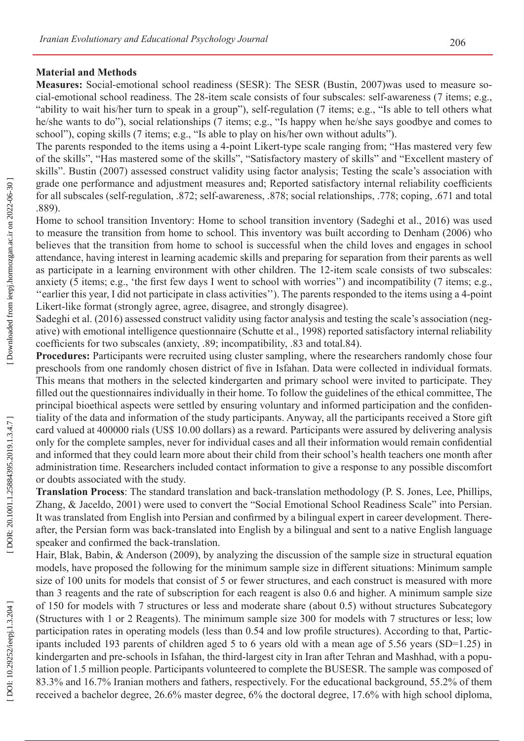#### **Material and Methods**

**Measures:** Social-emotional school readiness (SESR): The SESR (Bustin, 2007)was used to measure so cial-emotional school readiness. The 28-item scale consists of four subscales: self-awareness (7 items; e.g., "ability to wait his/her turn to speak in a group"), self-regulation (7 items; e.g., "Is able to tell others what he/she wants to do"), social relationships (7 items; e.g., "Is happy when he/she says goodbye and comes to school"), coping skills (7 items; e.g., "Is able to play on his/her own without adults").

The parents responded to the items using a 4-point Likert-type scale ranging from; "Has mastered very few of the skills", "Has mastered some of the skills", "Satisfactory mastery of skills" and "Excellent mastery of skills". Bustin (2007) assessed construct validity using factor analysis; Testing the scale's association with grade one performance and adjustment measures and; Reported satisfactory internal reliability coefficients for all subscales (self-regulation, .872; self-awareness, .878; social relationships, .778; coping, .671 and total .889).

Home to school transition Inventory: Home to school transition inventory (Sadeghi et al., 2016) was used to measure the transition from home to school. This inventory was built according to Denham (2006) who believes that the transition from home to school is successful when the child loves and engages in school attendance, having interest in learning academic skills and preparing for separation from their parents as well as participate in a learning environment with other children. The 12-item scale consists of two subscales: anxiety (5 items; e.g., 'the first few days I went to school with worries'') and incompatibility (7 items; e.g., ''earlier this year, I did not participate in class activities''). The parents responded to the items using a 4-point Likert-like format (strongly agree, agree, disagree, and strongly disagree).

Sadeghi et al. (2016) assessed construct validity using factor analysis and testing the scale's association (neg ative) with emotional intelligence questionnaire (Schutte et al., 1998) reported satisfactory internal reliability coefficients for two subscales (anxiety, .89; incompatibility, .83 and total.84).

Procedures: Participants were recruited using cluster sampling, where the researchers randomly chose four preschools from one randomly chosen district of five in Isfahan. Data were collected in individual formats. This means that mothers in the selected kindergarten and primary school were invited to participate. They filled out the questionnaires individually in their home. To follow the guidelines of the ethical committee, The principal bioethical aspects were settled by ensuring voluntary and informed participation and the confiden tiality of the data and information of the study participants. Anyway, all the participants received a Store gift card valued at 400000 rials (US\$ 10.00 dollars) as a reward. Participants were assured by delivering analysis only for the complete samples, never for individual cases and all their information would remain confidential and informed that they could learn more about their child from their school's health teachers one month after administration time. Researchers included contact information to give a response to any possible discomfort or doubts associated with the study.

**Translation Process**: The standard translation and back-translation methodology (P. S. Jones, Lee, Phillips, Zhang, & Jaceldo, 2001) were used to convert the "Social Emotional School Readiness Scale" into Persian. It was translated from English into Persian and confirmed by a bilingual expert in career development. There after, the Persian form was back-translated into English by a bilingual and sent to a native English language speaker and confirmed the back-translation.

Hair, Blak, Babin, & Anderson (2009), by analyzing the discussion of the sample size in structural equation models, have proposed the following for the minimum sample size in different situations: Minimum sample size of 100 units for models that consist of 5 or fewer structures, and each construct is measured with more than 3 reagents and the rate of subscription for each reagent is also 0.6 and higher. A minimum sample size of 150 for models with 7 structures or less and moderate share (about 0.5) without structures Subcategory (Structures with 1 or 2 Reagents). The minimum sample size 300 for models with 7 structures or less; low participation rates in operating models (less than 0.54 and low profile structures). According to that, Partic ipants included 193 parents of children aged 5 to 6 years old with a mean age of 5.56 years (SD=1.25) in kindergarten and pre-schools in Isfahan, the third-largest city in Iran after Tehran and Mashhad, with a popu lation of 1.5 million people. Participants volunteered to complete the BUSESR. The sample was composed of 83.3% and 16.7% Iranian mothers and fathers, respectively. For the educational background, 55.2% of them received a bachelor degree, 26.6% master degree, 6% the doctoral degree, 17.6% with high school diploma,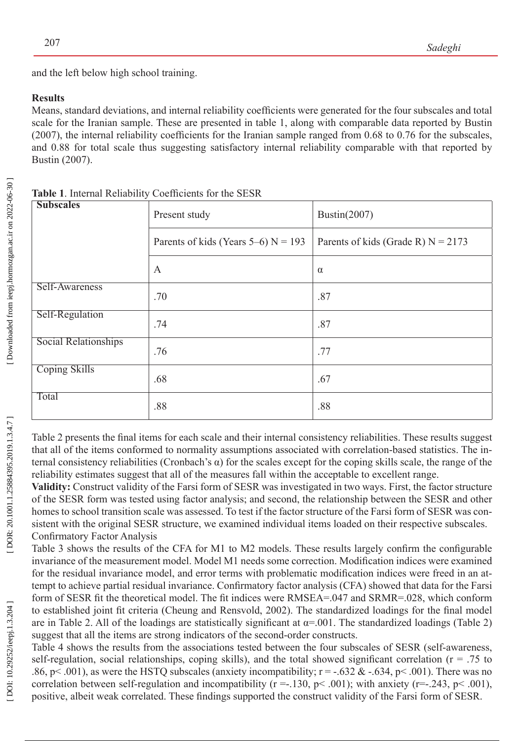and the left below high school training.

## **Results**

Means, standard deviations, and internal reliability coefficients were generated for the four subscales and total scale for the Iranian sample. These are presented in table 1, along with comparable data reported by Bustin (2007), the internal reliability coefficients for the Iranian sample ranged from 0.68 to 0.76 for the subscales, and 0.88 for total scale thus suggesting satisfactory internal reliability comparable with that reported by Bustin (2007) .

| <b>Subscales</b>            | Present study                         | Bustin $(2007)$                      |  |  |
|-----------------------------|---------------------------------------|--------------------------------------|--|--|
|                             | Parents of kids (Years 5–6) $N = 193$ | Parents of kids (Grade R) $N = 2173$ |  |  |
|                             | $\boldsymbol{A}$                      | $\alpha$                             |  |  |
| Self-Awareness              | .70                                   | .87                                  |  |  |
| Self-Regulation             | .74                                   | .87                                  |  |  |
| <b>Social Relationships</b> | .76                                   | .77                                  |  |  |
| <b>Coping Skills</b>        | .68                                   | .67                                  |  |  |
| Total                       | .88                                   | .88                                  |  |  |

**Table 1**. Internal Reliability Coefficients for the SESR

Table 2 presents the final items for each scale and their internal consistency reliabilities. These results suggest that all of the items conformed to normality assumptions associated with correlation-based statistics. The in ternal consistency reliabilities (Cronbach's α) for the scales except for the coping skills scale, the range of the reliability estimates suggest that all of the measures fall within the acceptable to excellent range.

**Validity:** Construct validity of the Farsi form of SESR was investigated in two ways. First, the factor structure of the SESR form was tested using factor analysis; and second, the relationship between the SESR and other homes to school transition scale was assessed. To test if the factor structure of the Farsi form of SESR was consistent with the original SESR structure, we examined individual items loaded on their respective subscales. Con firmatory Factor Analysis

Table 3 shows the results of the CFA for M1 to M2 models. These results largely confirm the configurable invariance of the measurement model. Model M1 needs some correction. Modification indices were examined for the residual invariance model, and error terms with problematic modification indices were freed in an attempt to achieve partial residual invariance. Confirmatory factor analysis (CFA) showed that data for the Farsi form of SESR fit the theoretical model. The fit indices were RMSEA=.047 and SRMR=.028, which conform to established joint fit criteria (Cheung and Rensvold, 2002). The standardized loadings for the final model are in Table 2. All of the loadings are statistically significant at  $\alpha$ =.001. The standardized loadings (Table 2) suggest that all the items are strong indicators of the second-order constructs.

Table 4 shows the results from the associations tested between the four subscales of SESR (self-awareness, self-regulation, social relationships, coping skills), and the total showed significant correlation ( $r = .75$  to .86, p < .001), as were the HSTQ subscales (anxiety incompatibility;  $r = -.632 \& -.634$ , p < .001). There was no correlation between self-regulation and incompatibility ( $r = -130$ ,  $p < .001$ ); with anxiety ( $r = -243$ ,  $p < .001$ ), positive, albeit weak correlated. These findings supported the construct validity of the Farsi form of SESR.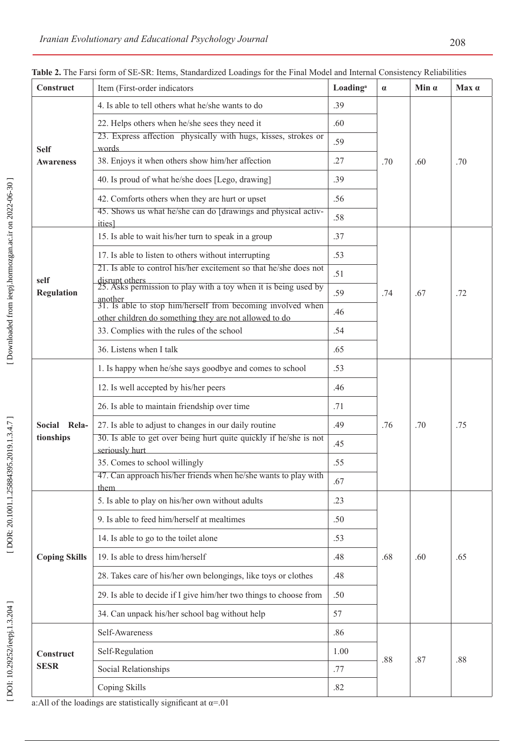| Construct                       | Item (First-order indicators                                                                                                     | Loading <sup>a</sup> | $\alpha$ | Min $\alpha$ | $Max \alpha$ |
|---------------------------------|----------------------------------------------------------------------------------------------------------------------------------|----------------------|----------|--------------|--------------|
| <b>Self</b><br><b>Awareness</b> | 4. Is able to tell others what he/she wants to do<br>.39                                                                         |                      |          |              |              |
|                                 | 22. Helps others when he/she sees they need it                                                                                   | .60                  |          |              |              |
|                                 | 23. Express affection physically with hugs, kisses, strokes or<br>words                                                          | .59                  |          |              |              |
|                                 | 38. Enjoys it when others show him/her affection                                                                                 |                      | .70      | .60          | .70          |
|                                 | 40. Is proud of what he/she does [Lego, drawing]                                                                                 | .39                  |          |              |              |
|                                 | 42. Comforts others when they are hurt or upset                                                                                  | .56                  |          |              |              |
|                                 | 45. Shows us what he/she can do [drawings and physical activ-<br><i>ities</i>                                                    | .58                  |          |              |              |
| self<br><b>Regulation</b>       | 15. Is able to wait his/her turn to speak in a group<br>.37                                                                      |                      |          |              |              |
|                                 | 17. Is able to listen to others without interrupting                                                                             | .53                  |          | .67          | .72          |
|                                 | 21. Is able to control his/her excitement so that he/she does not                                                                | .51                  | .74      |              |              |
|                                 | disrupt others<br>25. Asks permission to play with a toy when it is being used by                                                | .59                  |          |              |              |
|                                 | another<br>31. Is able to stop him/herself from becoming involved when<br>other children do something they are not allowed to do | .46                  |          |              |              |
|                                 | 33. Complies with the rules of the school                                                                                        | .54                  |          |              |              |
|                                 | 36. Listens when I talk                                                                                                          | .65                  |          |              |              |
|                                 | 1. Is happy when he/she says goodbye and comes to school                                                                         | .53                  |          |              |              |
|                                 | 12. Is well accepted by his/her peers                                                                                            | .46                  |          |              |              |
| Social Rela-<br>tionships       | 26. Is able to maintain friendship over time<br>.71<br>27. Is able to adjust to changes in our daily routine<br>.49              |                      |          |              |              |
|                                 |                                                                                                                                  |                      | .76      | .70          | .75          |
|                                 | 30. Is able to get over being hurt quite quickly if he/she is not<br>seriously hurt                                              | .45                  |          |              |              |
|                                 | 35. Comes to school willingly                                                                                                    | .55                  |          |              |              |
|                                 | 47. Can approach his/her friends when he/she wants to play with<br>them                                                          | .67                  |          |              |              |
| <b>Coping Skills</b>            | 5. Is able to play on his/her own without adults<br>.23                                                                          |                      |          |              |              |
|                                 | 9. Is able to feed him/herself at mealtimes                                                                                      | .50                  | .68      | .60          | .65          |
|                                 | 14. Is able to go to the toilet alone                                                                                            | .53                  |          |              |              |
|                                 | 19. Is able to dress him/herself                                                                                                 | .48                  |          |              |              |
|                                 | 28. Takes care of his/her own belongings, like toys or clothes                                                                   | .48                  |          |              |              |
|                                 | 29. Is able to decide if I give him/her two things to choose from                                                                | .50                  |          |              |              |
|                                 | 34. Can unpack his/her school bag without help                                                                                   | 57                   |          |              |              |
| Construct                       | Self-Awareness                                                                                                                   | .86                  |          | .87          | .88          |
|                                 | Self-Regulation                                                                                                                  | 1.00                 |          |              |              |
|                                 |                                                                                                                                  |                      |          |              |              |
| <b>SESR</b>                     | Social Relationships                                                                                                             | .77                  | .88      |              |              |

**Table 2.** The Farsi form of SE-SR: Items, Standardized Loadings for the Final Model and Internal Consistency Reliabilities

a:All of the loadings are statistically significant at  $\alpha = 01$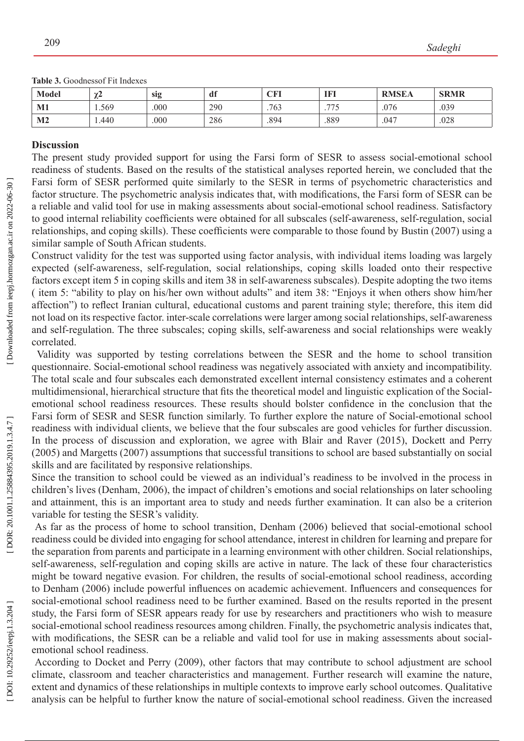**Table 3.** Goodnessof Fit Indexes

| <b>Model</b>   | $\sim$<br>∼ | sig  | df  | <b>CFI</b> | <b>IFI</b> | <b>RMSEA</b> | <b>SRMR</b> |
|----------------|-------------|------|-----|------------|------------|--------------|-------------|
| M1             | 1.569       | .000 | 290 | 763        | 775<br>ب ر | .076         | .039        |
| M <sub>2</sub> | 1.440       | .000 | 286 | .894       | .889       | .047         | .028        |

#### **Discussion**

The present study provided support for using the Farsi form of SESR to assess social-emotional school readiness of students. Based on the results of the statistical analyses reported herein, we concluded that the Farsi form of SESR performed quite similarly to the SESR in terms of psychometric characteristics and factor structure. The psychometric analysis indicates that, with modifications, the Farsi form of SESR can be a reliable and valid tool for use in making assessments about social-emotional school readiness. Satisfactory to good internal reliability coefficients were obtained for all subscales (self-awareness, self-regulation, social relationships, and coping skills). These coefficients were comparable to those found by Bustin (2007) using a similar sample of South African students.

Construct validity for the test was supported using factor analysis, with individual items loading was largely expected (self-awareness, self-regulation, social relationships, coping skills loaded onto their respective factors except item 5 in coping skills and item 38 in self-awareness subscales). Despite adopting the two items ( item 5: "ability to play on his/her own without adults" and item 38: "Enjoys it when others show him/her affection") to reflect Iranian cultural, educational customs and parent training style; therefore, this item did not load on its respective factor. inter-scale correlations were larger among social relationships, self-awareness and self-regulation. The three subscales; coping skills, self-awareness and social relationships were weakly correlated.

Validity was supported by testing correlations between the SESR and the home to school transition questionnaire. Social-emotional school readiness was negatively associated with anxiety and incompatibility. The total scale and four subscales each demonstrated excellent internal consistency estimates and a coherent multidimensional, hierarchical structure that fits the theoretical model and linguistic explication of the Socialemotional school readiness resources. These results should bolster confidence in the conclusion that the Farsi form of SESR and SESR function similarly. To further explore the nature of Social-emotional school readiness with individual clients, we believe that the four subscales are good vehicles for further discussion. In the process of discussion and exploration, we agree with Blair and Raver (2015) , Dockett and Perry (2005) and Margetts (2007) assumptions that successful transitions to school are based substantially on social skills and are facilitated by responsive relationships.

Since the transition to school could be viewed as an individual's readiness to be involved in the process in children's lives (Denham, 2006), the impact of children's emotions and social relationships on later schooling and attainment, this is an important area to study and needs further examination. It can also be a criterion variable for testing the SESR's validity.

As far as the process of home to school transition, Denham (2006) believed that social-emotional school readiness could be divided into engaging for school attendance, interest in children for learning and prepare for the separation from parents and participate in a learning environment with other children. Social relationships, self-awareness, self-regulation and coping skills are active in nature. The lack of these four characteristics might be toward negative evasion. For children, the results of social-emotional school readiness, according to Denham (2006) include powerful influences on academic achievement. Influencers and consequences for social-emotional school readiness need to be further examined. Based on the results reported in the present study, the Farsi form of SESR appears ready for use by researchers and practitioners who wish to measure social-emotional school readiness resources among children. Finally, the psychometric analysis indicates that, with modifications, the SESR can be a reliable and valid tool for use in making assessments about socialemotional school readiness.

According to Docket and Perry (2009), other factors that may contribute to school adjustment are school climate, classroom and teacher characteristics and management. Further research will examine the nature, extent and dynamics of these relationships in multiple contexts to improve early school outcomes. Qualitative analysis can be helpful to further know the nature of social-emotional school readiness. Given the increased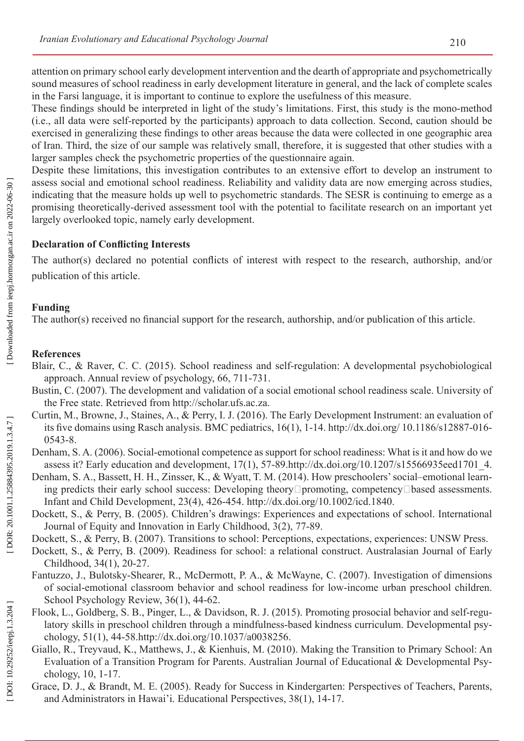attention on primary school early development intervention and the dearth of appropriate and psychometrically sound measures of school readiness in early development literature in general, and the lack of complete scales in the Farsi language, it is important to continue to explore the usefulness of this measure.

These findings should be interpreted in light of the study's limitations. First, this study is the mono-method (i.e., all data were self-reported by the participants) approach to data collection. Second, caution should be exercised in generalizing these findings to other areas because the data were collected in one geographic area of Iran. Third, the size of our sample was relatively small, therefore, it is suggested that other studies with a larger samples check the psychometric properties of the questionnaire again.

Despite these limitations, this investigation contributes to an extensive effort to develop an instrument to assess social and emotional school readiness. Reliability and validity data are now emerging across studies, indicating that the measure holds up well to psychometric standards. The SESR is continuing to emerge as a promising theoretically-derived assessment tool with the potential to facilitate research on an important yet largely overlooked topic, namely early development.

# **Declaration of Conflicting Interests**

The author(s) declared no potential conflicts of interest with respect to the research, authorship, and/or publication of this article.

## **Funding**

The author(s) received no financial support for the research, authorship, and/or publication of this article.

## **References**

- Blair, C., & Raver, C. C. (2015). School readiness and self-regulation: A developmental psychobiological approach. Annual review of psychology, 66, 711-731.
- Bustin, C. (2007). The development and validation of a social emotional school readiness scale. University of the Free state. Retrieved from<http://scholar.ufs.ac.za> .
- Curtin, M., Browne, J., Staines, A., & Perry, I. J. (2016). The Early Development Instrument: an evaluation of its five domains using Rasch analysis. BMC pediatrics, 16(1), 1-14. http://dx.doi.org/ 10.1186/s12887-016- 0543-8.
- Denham, S. A. (2006). Social-emotional competence as support for school readiness: What is it and how do we assess it? Early education and development, 17(1), 57-89[.http://dx.doi.org/10.1207/s15566935eed1701\\_4](http://dx.doi.org/10.1207/s15566935eed1701_4) .
- Denham, S. A., Bassett, H. H., Zinsser, K., & Wyatt, T. M. (2014). How preschoolers' social–emotional learning predicts their early school success: Developing theory□promoting, competency□based assessments. Infant and Child Development, 23(4), 426-454. http://dx.doi.org/10.1002/icd.1840.
- Dockett, S., & Perry, B. (2005). Children's drawings: Experiences and expectations of school. International Journal of Equity and Innovation in Early Childhood, 3(2), 77-89.
- Dockett, S., & Perry, B. (2007). Transitions to school: Perceptions, expectations, experiences: UNSW Press.
- Dockett, S., & Perry, B. (2009). Readiness for school: a relational construct. Australasian Journal of Early Childhood, 34(1), 20-27.
- Fantuzzo, J., Bulotsky-Shearer, R., McDermott, P. A., & McWayne, C. (2007). Investigation of dimensions of social-emotional classroom behavior and school readiness for low-income urban preschool children. School Psychology Review, 36(1), 44-62.
- Flook, L., Goldberg, S. B., Pinger, L., & Davidson, R. J. (2015). Promoting prosocial behavior and self-regulatory skills in preschool children through a mindfulness-based kindness curriculum. Developmental psy chology, 51(1), 44-58.http://dx.doi.org/10.1037/a0038256.
- Giallo, R., Treyvaud, K., Matthews, J., & Kienhuis, M. (2010). Making the Transition to Primary School: An Evaluation of a Transition Program for Parents. Australian Journal of Educational & Developmental Psy chology, 10, 1-17.
- Grace, D. J., & Brandt, M. E. (2005). Ready for Success in Kindergarten: Perspectives of Teachers, Parents, and Administrators in Hawai'i. Educational Perspectives, 38(1), 14-17.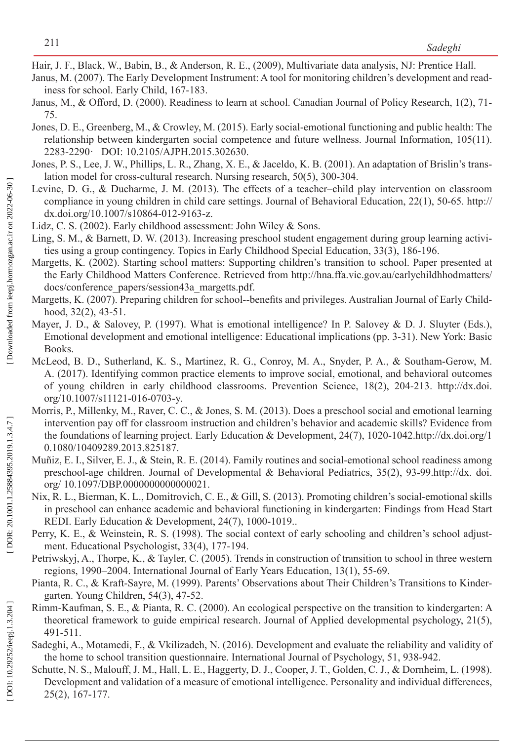Hair, J. F., Black, W., Babin, B., & Anderson, R. E., (2009), Multivariate data analysis, NJ: Prentice Hall.

- Janus, M. (2007). The Early Development Instrument: A tool for monitoring children's development and read iness for school. Early Child, 167-183.
- Janus, M., & Offord, D. (2000). Readiness to learn at school. Canadian Journal of Policy Research, 1(2), 71- 75.
- Jones, D. E., Greenberg, M., & Crowley, M. (2015). Early social-emotional functioning and public health: The relationship between kindergarten social competence and future wellness. Journal Information, 105(11). 2283-2290· DOI: 10.2105/AJPH.2015.302630.
- Jones, P. S., Lee, J. W., Phillips, L. R., Zhang, X. E., & Jaceldo, K. B. (2001). An adaptation of Brislin's translation model for cross-cultural research. Nursing research, 50(5), 300-304.
- Levine, D. G., & Ducharme, J. M. (2013). The effects of a teacher–child play intervention on classroom compliance in young children in child care settings. Journal of Behavioral Education, 22(1), 50-65. [http://](http://dx.doi.org/) [dx.doi.org/1](http://dx.doi.org/)0.1007/s10864-012-9163-z.
- Lidz, C. S. (2002). Early childhood assessment: John Wiley & Sons.
- Ling, S. M., & Barnett, D. W. (2013). Increasing preschool student engagement during group learning activi ties using a group contingency. Topics in Early Childhood Special Education, 33(3), 186-196.
- Margetts, K. (2002). Starting school matters: Supporting children's transition to school. Paper presented at the Early Childhood Matters Conference. Retrieved from http://hna.ffa.vic.gov.au/earlychildhhodmatters/ docs/conference\_papers/session43a\_margetts.pdf.
- Margetts, K. (2007). Preparing children for school--benefits and privileges. Australian Journal of Early Child hood, 32(2), 43-51.
- Mayer, J. D., & Salovey, P. (1997). What is emotional intelligence? In P. Salovey & D. J. Sluyter (Eds.), Emotional development and emotional intelligence: Educational implications (pp. 3-31). New York: Basic Books.
- McLeod, B. D., Sutherland, K. S., Martinez, R. G., Conroy, M. A., Snyder, P. A., & Southam-Gerow, M. A. (2017). Identifying common practice elements to improve social, emotional, and behavioral outcomes of young children in early childhood classrooms. Prevention Science, 18(2), 204-213. http://dx.doi. org/10.1007/s11121-016-0703-y.
- Morris, P., Millenky, M., Raver, C. C., & Jones, S. M. (2013). Does a preschool social and emotional learning intervention pay off for classroom instruction and children's behavior and academic skills? Evidence from the foundations of learning project. Early Education & Development, 24(7), 1020-1042[.http://dx.doi.org/1](http://dx.doi.org/10.1080/10409289.2013.825187) [0.1080/10409289.2013.825187](http://dx.doi.org/10.1080/10409289.2013.825187) .
- Muñiz, E. I., Silver, E. J., & Stein, R. E. (2014). Family routines and social-emotional school readiness among preschool-age children. Journal of Developmental & Behavioral Pediatrics, 35(2), 93-99.<http://dx>. doi. org/ 10.1097/DBP.0000000000000021.
- Nix, R. L., Bierman, K. L., Domitrovich, C. E., & Gill, S. (2013). Promoting children's social-emotional skills in preschool can enhance academic and behavioral functioning in kindergarten: Findings from Head Start REDI. Early Education & Development, 24(7), 1000-1019..
- Perry, K. E., & Weinstein, R. S. (1998). The social context of early schooling and children's school adjustment. Educational Psychologist, 33(4), 177-194.
- Petriwskyj, A., Thorpe, K., & Tayler, C. (2005). Trends in construction of transition to school in three western regions, 1990–2004. International Journal of Early Years Education, 13(1), 55-69.
- Pianta, R. C., & Kraft-Sayre, M. (1999). Parents' Observations about Their Children's Transitions to Kindergarten. Young Children, 54(3), 47-52.
- Rimm-Kaufman, S. E., & Pianta, R. C. (2000). An ecological perspective on the transition to kindergarten: A theoretical framework to guide empirical research. Journal of Applied developmental psychology, 21(5), 491-511.
- Sadeghi, A., Motamedi, F., & Vkilizadeh, N. (2016). Development and evaluate the reliability and validity of the home to school transition questionnaire. International Journal of Psychology, 51, 938-942.
- Schutte, N. S., Malouff, J. M., Hall, L. E., Haggerty, D. J., Cooper, J. T., Golden, C. J., & Dornheim, L. (1998). Development and validation of a measure of emotional intelligence. Personality and individual differences, 25(2), 167-177.

DOI: 10.29252/ieepj.1.3.204]